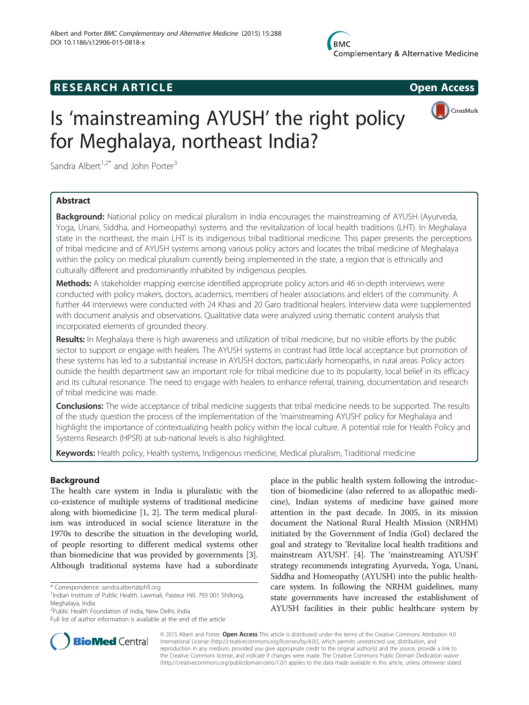# **RESEARCH ARTICLE Example 2014 CONSIDERING CONSIDERING CONSIDERING CONSIDERING CONSIDERING CONSIDERING CONSIDERING CONSIDERING CONSIDERING CONSIDERING CONSIDERING CONSIDERING CONSIDERING CONSIDERING CONSIDERING CONSIDE**

CrossMark



Sandra Albert<sup>1,2\*</sup> and John Porter<sup>3</sup>

## Abstract

**Background:** National policy on medical pluralism in India encourages the mainstreaming of AYUSH (Ayurveda, Yoga, Unani, Siddha, and Homeopathy) systems and the revitalization of local health traditions (LHT). In Meghalaya state in the northeast, the main LHT is its indigenous tribal traditional medicine. This paper presents the perceptions of tribal medicine and of AYUSH systems among various policy actors and locates the tribal medicine of Meghalaya within the policy on medical pluralism currently being implemented in the state, a region that is ethnically and culturally different and predominantly inhabited by indigenous peoples.

Methods: A stakeholder mapping exercise identified appropriate policy actors and 46 in-depth interviews were conducted with policy makers, doctors, academics, members of healer associations and elders of the community. A further 44 interviews were conducted with 24 Khasi and 20 Garo traditional healers. Interview data were supplemented with document analysis and observations. Qualitative data were analyzed using thematic content analysis that incorporated elements of grounded theory.

Results: In Meghalaya there is high awareness and utilization of tribal medicine, but no visible efforts by the public sector to support or engage with healers. The AYUSH systems in contrast had little local acceptance but promotion of these systems has led to a substantial increase in AYUSH doctors, particularly homeopaths, in rural areas. Policy actors outside the health department saw an important role for tribal medicine due to its popularity, local belief in its efficacy and its cultural resonance. The need to engage with healers to enhance referral, training, documentation and research of tribal medicine was made.

**Conclusions:** The wide acceptance of tribal medicine suggests that tribal medicine needs to be supported. The results of the study question the process of the implementation of the 'mainstreaming AYUSH' policy for Meghalaya and highlight the importance of contextualizing health policy within the local culture. A potential role for Health Policy and Systems Research (HPSR) at sub-national levels is also highlighted.

Keywords: Health policy, Health systems, Indigenous medicine, Medical pluralism, Traditional medicine

## Background

The health care system in India is pluralistic with the co-existence of multiple systems of traditional medicine along with biomedicine [[1, 2](#page-9-0)]. The term medical pluralism was introduced in social science literature in the 1970s to describe the situation in the developing world, of people resorting to different medical systems other than biomedicine that was provided by governments [\[3](#page-9-0)]. Although traditional systems have had a subordinate

\* Correspondence: [sandra.albert@phfi.org](mailto:sandra.albert@phfi.org) <sup>1</sup>

2 Public Health Foundation of India, New Delhi, India

place in the public health system following the introduction of biomedicine (also referred to as allopathic medicine), Indian systems of medicine have gained more attention in the past decade. In 2005, in its mission document the National Rural Health Mission (NRHM) initiated by the Government of India (GoI) declared the goal and strategy to 'Revitalize local health traditions and mainstream AYUSH'. [\[4](#page-9-0)]. The 'mainstreaming AYUSH' strategy recommends integrating Ayurveda, Yoga, Unani, Siddha and Homeopathy (AYUSH) into the public healthcare system. In following the NRHM guidelines, many state governments have increased the establishment of AYUSH facilities in their public healthcare system by



© 2015 Albert and Porter. Open Access This article is distributed under the terms of the Creative Commons Attribution 4.0 International License [\(http://creativecommons.org/licenses/by/4.0/](http://creativecommons.org/licenses/by/4.0/)), which permits unrestricted use, distribution, and reproduction in any medium, provided you give appropriate credit to the original author(s) and the source, provide a link to the Creative Commons license, and indicate if changes were made. The Creative Commons Public Domain Dedication waiver [\(http://creativecommons.org/publicdomain/zero/1.0/](http://creativecommons.org/publicdomain/zero/1.0/)) applies to the data made available in this article, unless otherwise stated.

<sup>&</sup>lt;sup>1</sup>Indian Institute of Public Health, Lawmali, Pasteur Hill, 793 001 Shillong, Meghalaya, India

Full list of author information is available at the end of the article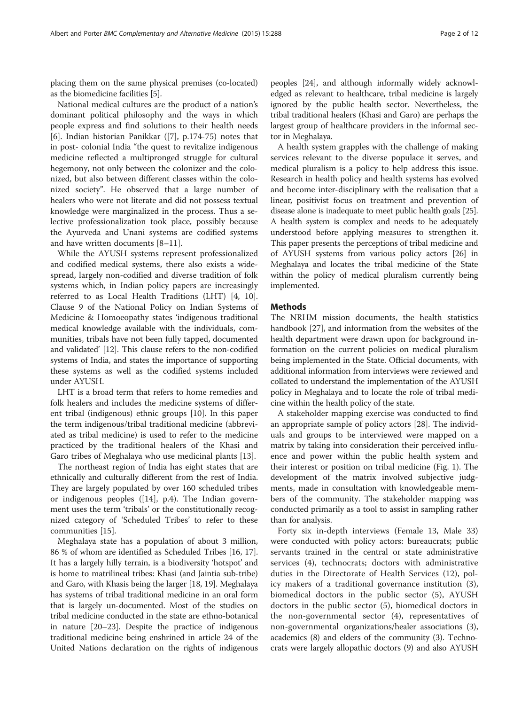National medical cultures are the product of a nation's dominant political philosophy and the ways in which people express and find solutions to their health needs [[6\]](#page-9-0). Indian historian Panikkar ([\[7](#page-9-0)], p.174-75) notes that in post- colonial India "the quest to revitalize indigenous medicine reflected a multipronged struggle for cultural hegemony, not only between the colonizer and the colonized, but also between different classes within the colonized society". He observed that a large number of healers who were not literate and did not possess textual knowledge were marginalized in the process. Thus a selective professionalization took place, possibly because the Ayurveda and Unani systems are codified systems and have written documents [\[8](#page-9-0)–[11](#page-10-0)].

While the AYUSH systems represent professionalized and codified medical systems, there also exists a widespread, largely non-codified and diverse tradition of folk systems which, in Indian policy papers are increasingly referred to as Local Health Traditions (LHT) [\[4, 10](#page-9-0)]. Clause 9 of the National Policy on Indian Systems of Medicine & Homoeopathy states 'indigenous traditional medical knowledge available with the individuals, communities, tribals have not been fully tapped, documented and validated' [\[12\]](#page-10-0). This clause refers to the non-codified systems of India, and states the importance of supporting these systems as well as the codified systems included under AYUSH.

LHT is a broad term that refers to home remedies and folk healers and includes the medicine systems of different tribal (indigenous) ethnic groups [\[10](#page-9-0)]. In this paper the term indigenous/tribal traditional medicine (abbreviated as tribal medicine) is used to refer to the medicine practiced by the traditional healers of the Khasi and Garo tribes of Meghalaya who use medicinal plants [\[13](#page-10-0)].

The northeast region of India has eight states that are ethnically and culturally different from the rest of India. They are largely populated by over 160 scheduled tribes or indigenous peoples ([[14\]](#page-10-0), p.4). The Indian government uses the term 'tribals' or the constitutionally recognized category of 'Scheduled Tribes' to refer to these communities [[15\]](#page-10-0).

Meghalaya state has a population of about 3 million, 86 % of whom are identified as Scheduled Tribes [[16, 17](#page-10-0)]. It has a largely hilly terrain, is a biodiversity 'hotspot' and is home to matrilineal tribes: Khasi (and Jaintia sub-tribe) and Garo, with Khasis being the larger [[18, 19\]](#page-10-0). Meghalaya has systems of tribal traditional medicine in an oral form that is largely un-documented. Most of the studies on tribal medicine conducted in the state are ethno-botanical in nature [\[20](#page-10-0)–[23](#page-10-0)]. Despite the practice of indigenous traditional medicine being enshrined in article 24 of the United Nations declaration on the rights of indigenous peoples [\[24](#page-10-0)], and although informally widely acknowledged as relevant to healthcare, tribal medicine is largely ignored by the public health sector. Nevertheless, the tribal traditional healers (Khasi and Garo) are perhaps the largest group of healthcare providers in the informal sector in Meghalaya.

A health system grapples with the challenge of making services relevant to the diverse populace it serves, and medical pluralism is a policy to help address this issue. Research in health policy and health systems has evolved and become inter-disciplinary with the realisation that a linear, positivist focus on treatment and prevention of disease alone is inadequate to meet public health goals [\[25](#page-10-0)]. A health system is complex and needs to be adequately understood before applying measures to strengthen it. This paper presents the perceptions of tribal medicine and of AYUSH systems from various policy actors [[26](#page-10-0)] in Meghalaya and locates the tribal medicine of the State within the policy of medical pluralism currently being implemented.

## **Methods**

The NRHM mission documents, the health statistics handbook [\[27](#page-10-0)], and information from the websites of the health department were drawn upon for background information on the current policies on medical pluralism being implemented in the State. Official documents, with additional information from interviews were reviewed and collated to understand the implementation of the AYUSH policy in Meghalaya and to locate the role of tribal medicine within the health policy of the state.

A stakeholder mapping exercise was conducted to find an appropriate sample of policy actors [\[28](#page-10-0)]. The individuals and groups to be interviewed were mapped on a matrix by taking into consideration their perceived influence and power within the public health system and their interest or position on tribal medicine (Fig. [1\)](#page-2-0). The development of the matrix involved subjective judgments, made in consultation with knowledgeable members of the community. The stakeholder mapping was conducted primarily as a tool to assist in sampling rather than for analysis.

Forty six in-depth interviews (Female 13, Male 33) were conducted with policy actors: bureaucrats; public servants trained in the central or state administrative services (4), technocrats; doctors with administrative duties in the Directorate of Health Services (12), policy makers of a traditional governance institution (3), biomedical doctors in the public sector (5), AYUSH doctors in the public sector (5), biomedical doctors in the non-governmental sector (4), representatives of non-governmental organizations/healer associations (3), academics (8) and elders of the community (3). Technocrats were largely allopathic doctors (9) and also AYUSH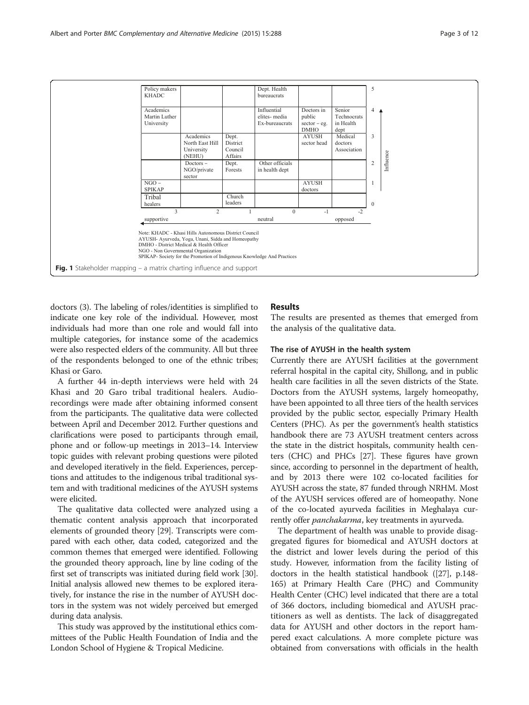<span id="page-2-0"></span>

doctors (3). The labeling of roles/identities is simplified to indicate one key role of the individual. However, most individuals had more than one role and would fall into multiple categories, for instance some of the academics were also respected elders of the community. All but three of the respondents belonged to one of the ethnic tribes; Khasi or Garo.

A further 44 in-depth interviews were held with 24 Khasi and 20 Garo tribal traditional healers. Audiorecordings were made after obtaining informed consent from the participants. The qualitative data were collected between April and December 2012. Further questions and clarifications were posed to participants through email, phone and or follow-up meetings in 2013–14. Interview topic guides with relevant probing questions were piloted and developed iteratively in the field. Experiences, perceptions and attitudes to the indigenous tribal traditional system and with traditional medicines of the AYUSH systems were elicited.

The qualitative data collected were analyzed using a thematic content analysis approach that incorporated elements of grounded theory [\[29\]](#page-10-0). Transcripts were compared with each other, data coded, categorized and the common themes that emerged were identified. Following the grounded theory approach, line by line coding of the first set of transcripts was initiated during field work [[30](#page-10-0)]. Initial analysis allowed new themes to be explored iteratively, for instance the rise in the number of AYUSH doctors in the system was not widely perceived but emerged during data analysis.

This study was approved by the institutional ethics committees of the Public Health Foundation of India and the London School of Hygiene & Tropical Medicine.

## Results

The results are presented as themes that emerged from the analysis of the qualitative data.

## The rise of AYUSH in the health system

Currently there are AYUSH facilities at the government referral hospital in the capital city, Shillong, and in public health care facilities in all the seven districts of the State. Doctors from the AYUSH systems, largely homeopathy, have been appointed to all three tiers of the health services provided by the public sector, especially Primary Health Centers (PHC). As per the government's health statistics handbook there are 73 AYUSH treatment centers across the state in the district hospitals, community health centers (CHC) and PHCs [\[27](#page-10-0)]. These figures have grown since, according to personnel in the department of health, and by 2013 there were 102 co-located facilities for AYUSH across the state, 87 funded through NRHM. Most of the AYUSH services offered are of homeopathy. None of the co-located ayurveda facilities in Meghalaya currently offer panchakarma, key treatments in ayurveda.

The department of health was unable to provide disaggregated figures for biomedical and AYUSH doctors at the district and lower levels during the period of this study. However, information from the facility listing of doctors in the health statistical handbook ([\[27](#page-10-0)], p.148- 165) at Primary Health Care (PHC) and Community Health Center (CHC) level indicated that there are a total of 366 doctors, including biomedical and AYUSH practitioners as well as dentists. The lack of disaggregated data for AYUSH and other doctors in the report hampered exact calculations. A more complete picture was obtained from conversations with officials in the health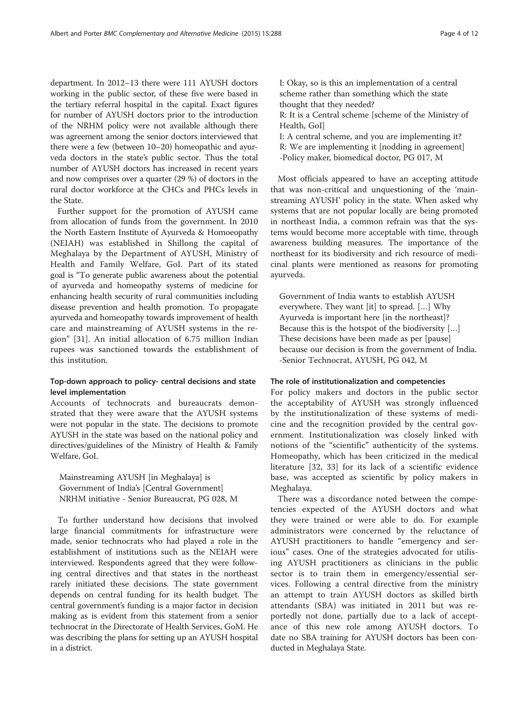department. In 2012–13 there were 111 AYUSH doctors working in the public sector, of these five were based in the tertiary referral hospital in the capital. Exact figures for number of AYUSH doctors prior to the introduction of the NRHM policy were not available although there was agreement among the senior doctors interviewed that there were a few (between 10–20) homeopathic and ayurveda doctors in the state's public sector. Thus the total number of AYUSH doctors has increased in recent years and now comprises over a quarter (29 %) of doctors in the rural doctor workforce at the CHCs and PHCs levels in the State.

Further support for the promotion of AYUSH came from allocation of funds from the government. In 2010 the North Eastern Institute of Ayurveda & Homoeopathy (NEIAH) was established in Shillong the capital of Meghalaya by the Department of AYUSH, Ministry of Health and Family Welfare, GoI. Part of its stated goal is "To generate public awareness about the potential of ayurveda and homeopathy systems of medicine for enhancing health security of rural communities including disease prevention and health promotion. To propagate ayurveda and homeopathy towards improvement of health care and mainstreaming of AYUSH systems in the region" [[31](#page-10-0)]. An initial allocation of 6.75 million Indian rupees was sanctioned towards the establishment of this institution.

## Top-down approach to policy- central decisions and state level implementation

Accounts of technocrats and bureaucrats demonstrated that they were aware that the AYUSH systems were not popular in the state. The decisions to promote AYUSH in the state was based on the national policy and directives/guidelines of the Ministry of Health & Family Welfare, GoI.

Mainstreaming AYUSH [in Meghalaya] is Government of India's [Central Government] NRHM initiative - Senior Bureaucrat, PG 028, M

To further understand how decisions that involved large financial commitments for infrastructure were made, senior technocrats who had played a role in the establishment of institutions such as the NEIAH were interviewed. Respondents agreed that they were following central directives and that states in the northeast rarely initiated these decisions. The state government depends on central funding for its health budget. The central government's funding is a major factor in decision making as is evident from this statement from a senior technocrat in the Directorate of Health Services, GoM. He was describing the plans for setting up an AYUSH hospital in a district.

I: Okay, so is this an implementation of a central scheme rather than something which the state thought that they needed?

R: It is a Central scheme [scheme of the Ministry of Health, GoI]

I: A central scheme, and you are implementing it? R: We are implementing it [nodding in agreement] -Policy maker, biomedical doctor, PG 017, M

Most officials appeared to have an accepting attitude that was non-critical and unquestioning of the 'mainstreaming AYUSH' policy in the state. When asked why systems that are not popular locally are being promoted in northeast India, a common refrain was that the systems would become more acceptable with time, through awareness building measures. The importance of the northeast for its biodiversity and rich resource of medicinal plants were mentioned as reasons for promoting ayurveda.

Government of India wants to establish AYUSH everywhere. They want [it] to spread. […] Why Ayurveda is important here [in the northeast]? Because this is the hotspot of the biodiversity […] These decisions have been made as per [pause] because our decision is from the government of India. -Senior Technocrat, AYUSH, PG 042, M

## The role of institutionalization and competencies

For policy makers and doctors in the public sector the acceptability of AYUSH was strongly influenced by the institutionalization of these systems of medicine and the recognition provided by the central government. Institutionalization was closely linked with notions of the "scientific" authenticity of the systems. Homeopathy, which has been criticized in the medical literature [[32](#page-10-0), [33\]](#page-10-0) for its lack of a scientific evidence base, was accepted as scientific by policy makers in Meghalaya.

There was a discordance noted between the competencies expected of the AYUSH doctors and what they were trained or were able to do. For example administrators were concerned by the reluctance of AYUSH practitioners to handle "emergency and serious" cases. One of the strategies advocated for utilising AYUSH practitioners as clinicians in the public sector is to train them in emergency/essential services. Following a central directive from the ministry an attempt to train AYUSH doctors as skilled birth attendants (SBA) was initiated in 2011 but was reportedly not done, partially due to a lack of acceptance of this new role among AYUSH doctors. To date no SBA training for AYUSH doctors has been conducted in Meghalaya State.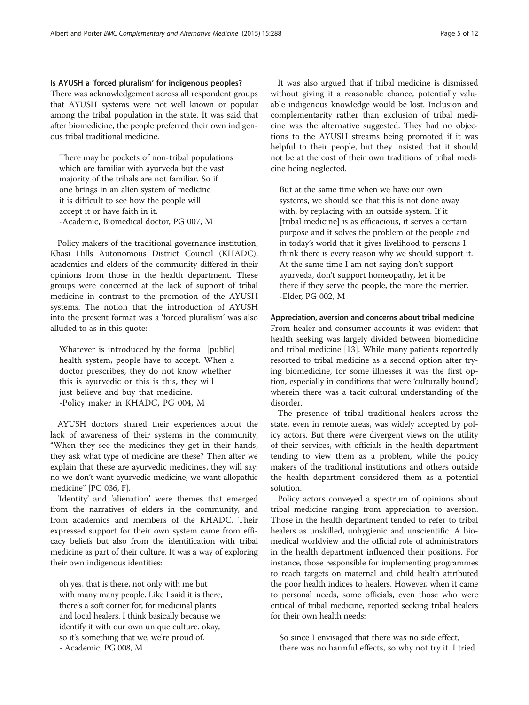#### Is AYUSH a 'forced pluralism' for indigenous peoples?

There was acknowledgement across all respondent groups that AYUSH systems were not well known or popular among the tribal population in the state. It was said that after biomedicine, the people preferred their own indigenous tribal traditional medicine.

There may be pockets of non-tribal populations which are familiar with ayurveda but the vast majority of the tribals are not familiar. So if one brings in an alien system of medicine it is difficult to see how the people will accept it or have faith in it. -Academic, Biomedical doctor, PG 007, M

Policy makers of the traditional governance institution, Khasi Hills Autonomous District Council (KHADC), academics and elders of the community differed in their opinions from those in the health department. These groups were concerned at the lack of support of tribal medicine in contrast to the promotion of the AYUSH systems. The notion that the introduction of AYUSH into the present format was a 'forced pluralism' was also alluded to as in this quote:

Whatever is introduced by the formal [public] health system, people have to accept. When a doctor prescribes, they do not know whether this is ayurvedic or this is this, they will just believe and buy that medicine. -Policy maker in KHADC, PG 004, M

AYUSH doctors shared their experiences about the lack of awareness of their systems in the community, "When they see the medicines they get in their hands, they ask what type of medicine are these? Then after we explain that these are ayurvedic medicines, they will say: no we don't want ayurvedic medicine, we want allopathic medicine" [PG 036, F].

'Identity' and 'alienation' were themes that emerged from the narratives of elders in the community, and from academics and members of the KHADC. Their expressed support for their own system came from efficacy beliefs but also from the identification with tribal medicine as part of their culture. It was a way of exploring their own indigenous identities:

oh yes, that is there, not only with me but with many many people. Like I said it is there, there's a soft corner for, for medicinal plants and local healers. I think basically because we identify it with our own unique culture. okay, so it's something that we, we're proud of.

- Academic, PG 008, M

It was also argued that if tribal medicine is dismissed without giving it a reasonable chance, potentially valuable indigenous knowledge would be lost. Inclusion and complementarity rather than exclusion of tribal medicine was the alternative suggested. They had no objections to the AYUSH streams being promoted if it was helpful to their people, but they insisted that it should not be at the cost of their own traditions of tribal medicine being neglected.

But at the same time when we have our own systems, we should see that this is not done away with, by replacing with an outside system. If it [tribal medicine] is as efficacious, it serves a certain purpose and it solves the problem of the people and in today's world that it gives livelihood to persons I think there is every reason why we should support it. At the same time I am not saying don't support ayurveda, don't support homeopathy, let it be there if they serve the people, the more the merrier. -Elder, PG 002, M

#### Appreciation, aversion and concerns about tribal medicine

From healer and consumer accounts it was evident that health seeking was largely divided between biomedicine and tribal medicine [\[13](#page-10-0)]. While many patients reportedly resorted to tribal medicine as a second option after trying biomedicine, for some illnesses it was the first option, especially in conditions that were 'culturally bound'; wherein there was a tacit cultural understanding of the disorder.

The presence of tribal traditional healers across the state, even in remote areas, was widely accepted by policy actors. But there were divergent views on the utility of their services, with officials in the health department tending to view them as a problem, while the policy makers of the traditional institutions and others outside the health department considered them as a potential solution.

Policy actors conveyed a spectrum of opinions about tribal medicine ranging from appreciation to aversion. Those in the health department tended to refer to tribal healers as unskilled, unhygienic and unscientific. A biomedical worldview and the official role of administrators in the health department influenced their positions. For instance, those responsible for implementing programmes to reach targets on maternal and child health attributed the poor health indices to healers. However, when it came to personal needs, some officials, even those who were critical of tribal medicine, reported seeking tribal healers for their own health needs:

So since I envisaged that there was no side effect, there was no harmful effects, so why not try it. I tried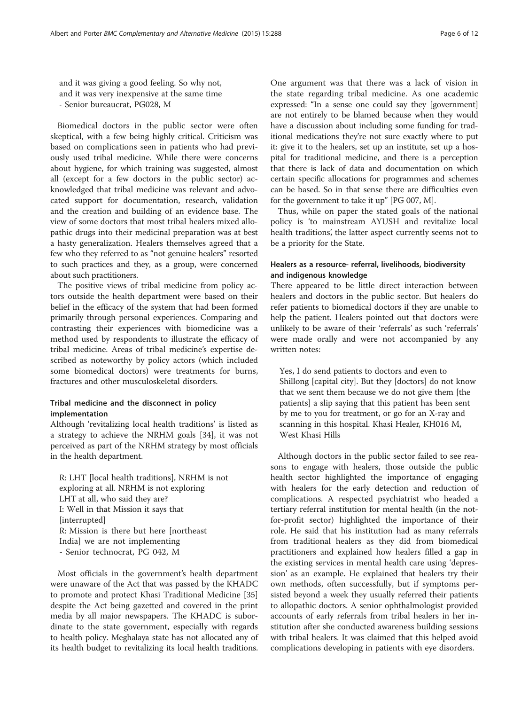and it was giving a good feeling. So why not, and it was very inexpensive at the same time - Senior bureaucrat, PG028, M

Biomedical doctors in the public sector were often skeptical, with a few being highly critical. Criticism was based on complications seen in patients who had previously used tribal medicine. While there were concerns about hygiene, for which training was suggested, almost all (except for a few doctors in the public sector) acknowledged that tribal medicine was relevant and advocated support for documentation, research, validation and the creation and building of an evidence base. The view of some doctors that most tribal healers mixed allopathic drugs into their medicinal preparation was at best a hasty generalization. Healers themselves agreed that a few who they referred to as "not genuine healers" resorted to such practices and they, as a group, were concerned about such practitioners.

The positive views of tribal medicine from policy actors outside the health department were based on their belief in the efficacy of the system that had been formed primarily through personal experiences. Comparing and contrasting their experiences with biomedicine was a method used by respondents to illustrate the efficacy of tribal medicine. Areas of tribal medicine's expertise described as noteworthy by policy actors (which included some biomedical doctors) were treatments for burns, fractures and other musculoskeletal disorders.

## Tribal medicine and the disconnect in policy implementation

Although 'revitalizing local health traditions' is listed as a strategy to achieve the NRHM goals [[34\]](#page-10-0), it was not perceived as part of the NRHM strategy by most officials in the health department.

R: LHT [local health traditions], NRHM is not exploring at all. NRHM is not exploring LHT at all, who said they are? I: Well in that Mission it says that [interrupted] R: Mission is there but here [northeast India] we are not implementing - Senior technocrat, PG 042, M

Most officials in the government's health department were unaware of the Act that was passed by the KHADC to promote and protect Khasi Traditional Medicine [[35](#page-10-0)] despite the Act being gazetted and covered in the print media by all major newspapers. The KHADC is subordinate to the state government, especially with regards to health policy. Meghalaya state has not allocated any of its health budget to revitalizing its local health traditions.

One argument was that there was a lack of vision in the state regarding tribal medicine. As one academic expressed: "In a sense one could say they [government] are not entirely to be blamed because when they would have a discussion about including some funding for traditional medications they're not sure exactly where to put it: give it to the healers, set up an institute, set up a hospital for traditional medicine, and there is a perception that there is lack of data and documentation on which certain specific allocations for programmes and schemes can be based. So in that sense there are difficulties even for the government to take it up" [PG 007, M].

Thus, while on paper the stated goals of the national policy is 'to mainstream AYUSH and revitalize local health traditions', the latter aspect currently seems not to be a priority for the State.

## Healers as a resource- referral, livelihoods, biodiversity and indigenous knowledge

There appeared to be little direct interaction between healers and doctors in the public sector. But healers do refer patients to biomedical doctors if they are unable to help the patient. Healers pointed out that doctors were unlikely to be aware of their 'referrals' as such 'referrals' were made orally and were not accompanied by any written notes:

Yes, I do send patients to doctors and even to Shillong [capital city]. But they [doctors] do not know that we sent them because we do not give them [the patients] a slip saying that this patient has been sent by me to you for treatment, or go for an X-ray and scanning in this hospital. Khasi Healer, KH016 M, West Khasi Hills

Although doctors in the public sector failed to see reasons to engage with healers, those outside the public health sector highlighted the importance of engaging with healers for the early detection and reduction of complications. A respected psychiatrist who headed a tertiary referral institution for mental health (in the notfor-profit sector) highlighted the importance of their role. He said that his institution had as many referrals from traditional healers as they did from biomedical practitioners and explained how healers filled a gap in the existing services in mental health care using 'depression' as an example. He explained that healers try their own methods, often successfully, but if symptoms persisted beyond a week they usually referred their patients to allopathic doctors. A senior ophthalmologist provided accounts of early referrals from tribal healers in her institution after she conducted awareness building sessions with tribal healers. It was claimed that this helped avoid complications developing in patients with eye disorders.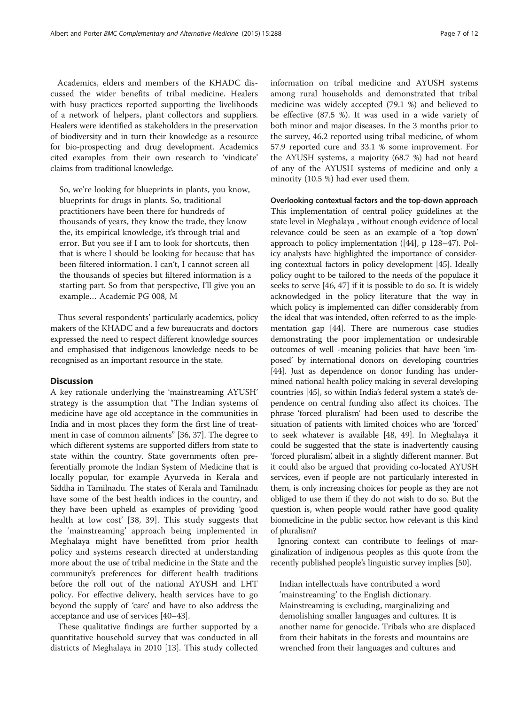Academics, elders and members of the KHADC discussed the wider benefits of tribal medicine. Healers with busy practices reported supporting the livelihoods of a network of helpers, plant collectors and suppliers. Healers were identified as stakeholders in the preservation of biodiversity and in turn their knowledge as a resource for bio-prospecting and drug development. Academics cited examples from their own research to 'vindicate' claims from traditional knowledge.

So, we're looking for blueprints in plants, you know, blueprints for drugs in plants. So, traditional practitioners have been there for hundreds of thousands of years, they know the trade, they know the, its empirical knowledge, it's through trial and error. But you see if I am to look for shortcuts, then that is where I should be looking for because that has been filtered information. I can't, I cannot screen all the thousands of species but filtered information is a starting part. So from that perspective, I'll give you an example… Academic PG 008, M

Thus several respondents' particularly academics, policy makers of the KHADC and a few bureaucrats and doctors expressed the need to respect different knowledge sources and emphasised that indigenous knowledge needs to be recognised as an important resource in the state.

## **Discussion**

A key rationale underlying the 'mainstreaming AYUSH' strategy is the assumption that "The Indian systems of medicine have age old acceptance in the communities in India and in most places they form the first line of treatment in case of common ailments" [[36](#page-10-0), [37\]](#page-10-0). The degree to which different systems are supported differs from state to state within the country. State governments often preferentially promote the Indian System of Medicine that is locally popular, for example Ayurveda in Kerala and Siddha in Tamilnadu. The states of Kerala and Tamilnadu have some of the best health indices in the country, and they have been upheld as examples of providing 'good health at low cost' [[38, 39\]](#page-10-0). This study suggests that the 'mainstreaming' approach being implemented in Meghalaya might have benefitted from prior health policy and systems research directed at understanding more about the use of tribal medicine in the State and the community's preferences for different health traditions before the roll out of the national AYUSH and LHT policy. For effective delivery, health services have to go beyond the supply of 'care' and have to also address the acceptance and use of services [[40](#page-10-0)–[43\]](#page-10-0).

These qualitative findings are further supported by a quantitative household survey that was conducted in all districts of Meghalaya in 2010 [[13\]](#page-10-0). This study collected information on tribal medicine and AYUSH systems among rural households and demonstrated that tribal medicine was widely accepted (79.1 %) and believed to be effective (87.5 %). It was used in a wide variety of both minor and major diseases. In the 3 months prior to the survey, 46.2 reported using tribal medicine, of whom 57.9 reported cure and 33.1 % some improvement. For the AYUSH systems, a majority (68.7 %) had not heard of any of the AYUSH systems of medicine and only a minority (10.5 %) had ever used them.

#### Overlooking contextual factors and the top-down approach

This implementation of central policy guidelines at the state level in Meghalaya , without enough evidence of local relevance could be seen as an example of a 'top down' approach to policy implementation ([[44](#page-10-0)], p 128–47). Policy analysts have highlighted the importance of considering contextual factors in policy development [\[45\]](#page-10-0). Ideally policy ought to be tailored to the needs of the populace it seeks to serve [\[46, 47](#page-10-0)] if it is possible to do so. It is widely acknowledged in the policy literature that the way in which policy is implemented can differ considerably from the ideal that was intended, often referred to as the implementation gap [\[44\]](#page-10-0). There are numerous case studies demonstrating the poor implementation or undesirable outcomes of well -meaning policies that have been 'imposed' by international donors on developing countries [[44](#page-10-0)]. Just as dependence on donor funding has undermined national health policy making in several developing countries [[45](#page-10-0)], so within India's federal system a state's dependence on central funding also affect its choices. The phrase 'forced pluralism' had been used to describe the situation of patients with limited choices who are 'forced' to seek whatever is available [[48](#page-10-0), [49](#page-10-0)]. In Meghalaya it could be suggested that the state is inadvertently causing 'forced pluralism', albeit in a slightly different manner. But it could also be argued that providing co-located AYUSH services, even if people are not particularly interested in them, is only increasing choices for people as they are not obliged to use them if they do not wish to do so. But the question is, when people would rather have good quality biomedicine in the public sector, how relevant is this kind of pluralism?

Ignoring context can contribute to feelings of marginalization of indigenous peoples as this quote from the recently published people's linguistic survey implies [\[50\]](#page-10-0).

Indian intellectuals have contributed a word 'mainstreaming' to the English dictionary. Mainstreaming is excluding, marginalizing and demolishing smaller languages and cultures. It is another name for genocide. Tribals who are displaced from their habitats in the forests and mountains are wrenched from their languages and cultures and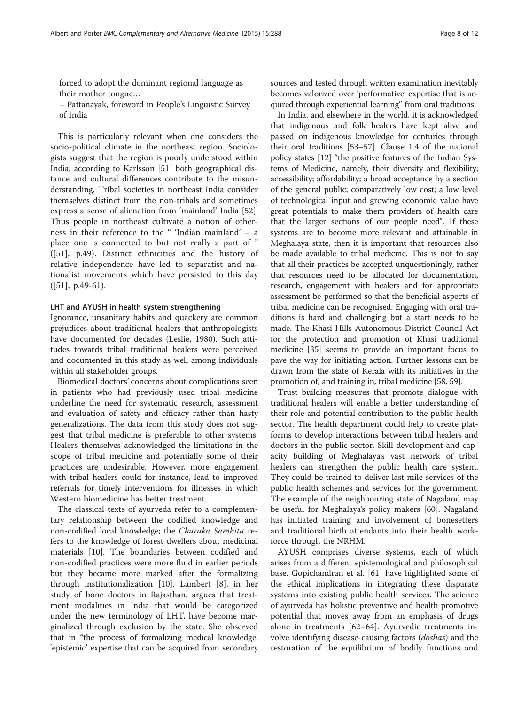forced to adopt the dominant regional language as their mother tongue…

– Pattanayak, foreword in People's Linguistic Survey of India

This is particularly relevant when one considers the socio-political climate in the northeast region. Sociologists suggest that the region is poorly understood within India; according to Karlsson [\[51\]](#page-10-0) both geographical distance and cultural differences contribute to the misunderstanding. Tribal societies in northeast India consider themselves distinct from the non-tribals and sometimes express a sense of alienation from 'mainland' India [\[52](#page-10-0)]. Thus people in northeast cultivate a notion of otherness in their reference to the " 'Indian mainland' – a place one is connected to but not really a part of " ([\[51](#page-10-0)], p.49). Distinct ethnicities and the history of relative independence have led to separatist and nationalist movements which have persisted to this day  $([51], p.49-61)$  $([51], p.49-61)$  $([51], p.49-61)$ .

#### LHT and AYUSH in health system strengthening

Ignorance, unsanitary habits and quackery are common prejudices about traditional healers that anthropologists have documented for decades (Leslie, 1980). Such attitudes towards tribal traditional healers were perceived and documented in this study as well among individuals within all stakeholder groups.

Biomedical doctors' concerns about complications seen in patients who had previously used tribal medicine underline the need for systematic research, assessment and evaluation of safety and efficacy rather than hasty generalizations. The data from this study does not suggest that tribal medicine is preferable to other systems. Healers themselves acknowledged the limitations in the scope of tribal medicine and potentially some of their practices are undesirable. However, more engagement with tribal healers could for instance, lead to improved referrals for timely interventions for illnesses in which Western biomedicine has better treatment.

The classical texts of ayurveda refer to a complementary relationship between the codified knowledge and non-codified local knowledge; the Charaka Samhita refers to the knowledge of forest dwellers about medicinal materials [[10\]](#page-9-0). The boundaries between codified and non-codified practices were more fluid in earlier periods but they became more marked after the formalizing through institutionalization [[10](#page-9-0)]. Lambert [[8\]](#page-9-0), in her study of bone doctors in Rajasthan, argues that treatment modalities in India that would be categorized under the new terminology of LHT, have become marginalized through exclusion by the state. She observed that in "the process of formalizing medical knowledge, 'epistemic' expertise that can be acquired from secondary sources and tested through written examination inevitably becomes valorized over 'performative' expertise that is acquired through experiential learning" from oral traditions.

In India, and elsewhere in the world, it is acknowledged that indigenous and folk healers have kept alive and passed on indigenous knowledge for centuries through their oral traditions [\[53](#page-10-0)–[57](#page-10-0)]. Clause 1.4 of the national policy states [[12](#page-10-0)] "the positive features of the Indian Systems of Medicine, namely, their diversity and flexibility; accessibility; affordability; a broad acceptance by a section of the general public; comparatively low cost; a low level of technological input and growing economic value have great potentials to make them providers of health care that the larger sections of our people need". If these systems are to become more relevant and attainable in Meghalaya state, then it is important that resources also be made available to tribal medicine. This is not to say that all their practices be accepted unquestioningly, rather that resources need to be allocated for documentation, research, engagement with healers and for appropriate assessment be performed so that the beneficial aspects of tribal medicine can be recognised. Engaging with oral traditions is hard and challenging but a start needs to be made. The Khasi Hills Autonomous District Council Act for the protection and promotion of Khasi traditional medicine [\[35\]](#page-10-0) seems to provide an important focus to pave the way for initiating action. Further lessons can be drawn from the state of Kerala with its initiatives in the promotion of, and training in, tribal medicine [\[58, 59](#page-10-0)].

Trust building measures that promote dialogue with traditional healers will enable a better understanding of their role and potential contribution to the public health sector. The health department could help to create platforms to develop interactions between tribal healers and doctors in the public sector. Skill development and capacity building of Meghalaya's vast network of tribal healers can strengthen the public health care system. They could be trained to deliver last mile services of the public health schemes and services for the government. The example of the neighbouring state of Nagaland may be useful for Meghalaya's policy makers [[60\]](#page-10-0). Nagaland has initiated training and involvement of bonesetters and traditional birth attendants into their health workforce through the NRHM.

AYUSH comprises diverse systems, each of which arises from a different epistemological and philosophical base. Gopichandran et al. [\[61](#page-10-0)] have highlighted some of the ethical implications in integrating these disparate systems into existing public health services. The science of ayurveda has holistic preventive and health promotive potential that moves away from an emphasis of drugs alone in treatments [\[62](#page-10-0)–[64\]](#page-10-0). Ayurvedic treatments involve identifying disease-causing factors (*doshas*) and the restoration of the equilibrium of bodily functions and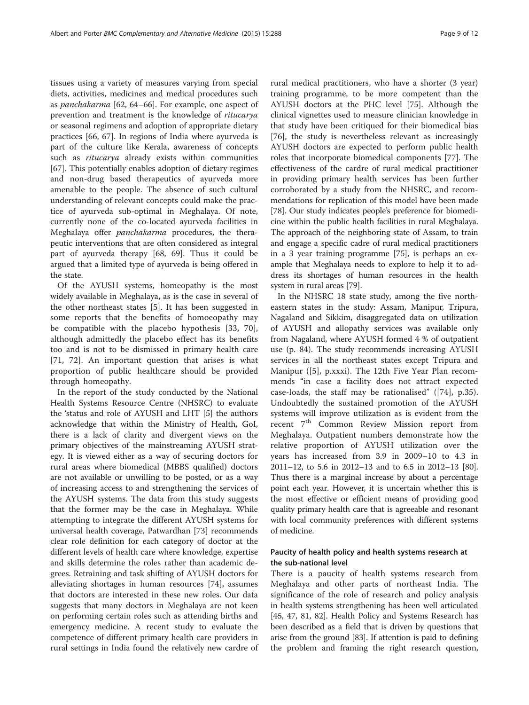tissues using a variety of measures varying from special diets, activities, medicines and medical procedures such as panchakarma [[62, 64](#page-10-0)–[66](#page-10-0)]. For example, one aspect of prevention and treatment is the knowledge of ritucarya or seasonal regimens and adoption of appropriate dietary practices [\[66](#page-10-0), [67\]](#page-10-0). In regions of India where ayurveda is part of the culture like Kerala, awareness of concepts such as ritucarya already exists within communities [[67\]](#page-10-0). This potentially enables adoption of dietary regimes and non-drug based therapeutics of ayurveda more amenable to the people. The absence of such cultural understanding of relevant concepts could make the practice of ayurveda sub-optimal in Meghalaya. Of note, currently none of the co-located ayurveda facilities in Meghalaya offer panchakarma procedures, the therapeutic interventions that are often considered as integral part of ayurveda therapy [\[68, 69\]](#page-11-0). Thus it could be argued that a limited type of ayurveda is being offered in the state.

Of the AYUSH systems, homeopathy is the most widely available in Meghalaya, as is the case in several of the other northeast states [[5](#page-9-0)]. It has been suggested in some reports that the benefits of homoeopathy may be compatible with the placebo hypothesis [\[33](#page-10-0), [70](#page-11-0)], although admittedly the placebo effect has its benefits too and is not to be dismissed in primary health care [[71, 72](#page-11-0)]. An important question that arises is what proportion of public healthcare should be provided through homeopathy.

In the report of the study conducted by the National Health Systems Resource Centre (NHSRC) to evaluate the 'status and role of AYUSH and LHT [[5\]](#page-9-0) the authors acknowledge that within the Ministry of Health, GoI, there is a lack of clarity and divergent views on the primary objectives of the mainstreaming AYUSH strategy. It is viewed either as a way of securing doctors for rural areas where biomedical (MBBS qualified) doctors are not available or unwilling to be posted, or as a way of increasing access to and strengthening the services of the AYUSH systems. The data from this study suggests that the former may be the case in Meghalaya. While attempting to integrate the different AYUSH systems for universal health coverage, Patwardhan [\[73](#page-11-0)] recommends clear role definition for each category of doctor at the different levels of health care where knowledge, expertise and skills determine the roles rather than academic degrees. Retraining and task shifting of AYUSH doctors for alleviating shortages in human resources [\[74](#page-11-0)], assumes that doctors are interested in these new roles. Our data suggests that many doctors in Meghalaya are not keen on performing certain roles such as attending births and emergency medicine. A recent study to evaluate the competence of different primary health care providers in rural settings in India found the relatively new cardre of

rural medical practitioners, who have a shorter (3 year) training programme, to be more competent than the AYUSH doctors at the PHC level [\[75](#page-11-0)]. Although the clinical vignettes used to measure clinician knowledge in that study have been critiqued for their biomedical bias [[76\]](#page-11-0), the study is nevertheless relevant as increasingly AYUSH doctors are expected to perform public health roles that incorporate biomedical components [[77](#page-11-0)]. The effectiveness of the cardre of rural medical practitioner in providing primary health services has been further corroborated by a study from the NHSRC, and recommendations for replication of this model have been made [[78](#page-11-0)]. Our study indicates people's preference for biomedicine within the public health facilities in rural Meghalaya. The approach of the neighboring state of Assam, to train and engage a specific cadre of rural medical practitioners in a 3 year training programme [\[75\]](#page-11-0), is perhaps an example that Meghalaya needs to explore to help it to address its shortages of human resources in the health system in rural areas [[79](#page-11-0)].

In the NHSRC 18 state study, among the five northeastern states in the study: Assam, Manipur, Tripura, Nagaland and Sikkim, disaggregated data on utilization of AYUSH and allopathy services was available only from Nagaland, where AYUSH formed 4 % of outpatient use (p. 84). The study recommends increasing AYUSH services in all the northeast states except Tripura and Manipur ([\[5](#page-9-0)], p.xxxi). The 12th Five Year Plan recommends "in case a facility does not attract expected case-loads, the staff may be rationalised" ([\[74](#page-11-0)], p.35). Undoubtedly the sustained promotion of the AYUSH systems will improve utilization as is evident from the recent 7<sup>th</sup> Common Review Mission report from Meghalaya. Outpatient numbers demonstrate how the relative proportion of AYUSH utilization over the years has increased from 3.9 in 2009–10 to 4.3 in 2011–12, to 5.6 in 2012–13 and to 6.5 in 2012–13 [[80](#page-11-0)]. Thus there is a marginal increase by about a percentage point each year. However, it is uncertain whether this is the most effective or efficient means of providing good quality primary health care that is agreeable and resonant with local community preferences with different systems of medicine.

## Paucity of health policy and health systems research at the sub-national level

There is a paucity of health systems research from Meghalaya and other parts of northeast India. The significance of the role of research and policy analysis in health systems strengthening has been well articulated [[45](#page-10-0), [47,](#page-10-0) [81](#page-11-0), [82\]](#page-11-0). Health Policy and Systems Research has been described as a field that is driven by questions that arise from the ground [[83](#page-11-0)]. If attention is paid to defining the problem and framing the right research question,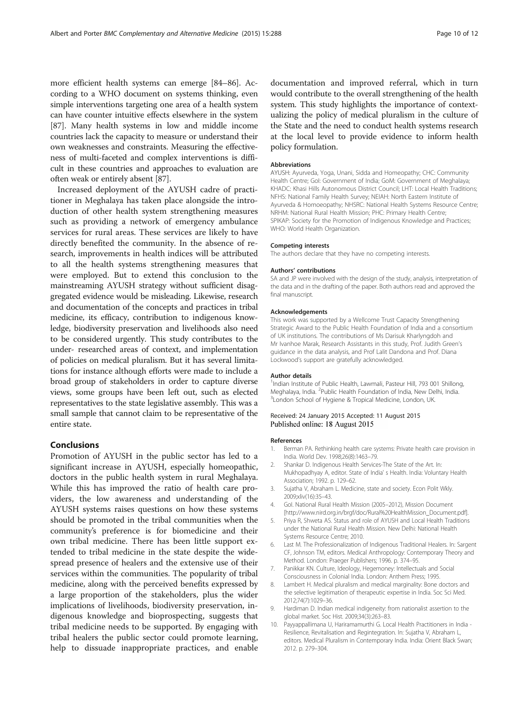<span id="page-9-0"></span>more efficient health systems can emerge [[84](#page-11-0)–[86\]](#page-11-0). According to a WHO document on systems thinking, even simple interventions targeting one area of a health system can have counter intuitive effects elsewhere in the system [[87](#page-11-0)]. Many health systems in low and middle income countries lack the capacity to measure or understand their own weaknesses and constraints. Measuring the effectiveness of multi-faceted and complex interventions is difficult in these countries and approaches to evaluation are often weak or entirely absent [[87\]](#page-11-0).

Increased deployment of the AYUSH cadre of practitioner in Meghalaya has taken place alongside the introduction of other health system strengthening measures such as providing a network of emergency ambulance services for rural areas. These services are likely to have directly benefited the community. In the absence of research, improvements in health indices will be attributed to all the health systems strengthening measures that were employed. But to extend this conclusion to the mainstreaming AYUSH strategy without sufficient disaggregated evidence would be misleading. Likewise, research and documentation of the concepts and practices in tribal medicine, its efficacy, contribution to indigenous knowledge, biodiversity preservation and livelihoods also need to be considered urgently. This study contributes to the under- researched areas of context, and implementation of policies on medical pluralism. But it has several limitations for instance although efforts were made to include a broad group of stakeholders in order to capture diverse views, some groups have been left out, such as elected representatives to the state legislative assembly. This was a small sample that cannot claim to be representative of the entire state.

## Conclusions

Promotion of AYUSH in the public sector has led to a significant increase in AYUSH, especially homeopathic, doctors in the public health system in rural Meghalaya. While this has improved the ratio of health care providers, the low awareness and understanding of the AYUSH systems raises questions on how these systems should be promoted in the tribal communities when the community's preference is for biomedicine and their own tribal medicine. There has been little support extended to tribal medicine in the state despite the widespread presence of healers and the extensive use of their services within the communities. The popularity of tribal medicine, along with the perceived benefits expressed by a large proportion of the stakeholders, plus the wider implications of livelihoods, biodiversity preservation, indigenous knowledge and bioprospecting, suggests that tribal medicine needs to be supported. By engaging with tribal healers the public sector could promote learning, help to dissuade inappropriate practices, and enable documentation and improved referral, which in turn would contribute to the overall strengthening of the health system. This study highlights the importance of contextualizing the policy of medical pluralism in the culture of the State and the need to conduct health systems research at the local level to provide evidence to inform health policy formulation.

#### Abbreviations

AYUSH: Ayurveda, Yoga, Unani, Sidda and Homeopathy; CHC: Community Health Centre; Gol: Government of India; GoM: Government of Meghalaya; KHADC: Khasi Hills Autonomous District Council; LHT: Local Health Traditions; NFHS: National Family Health Survey; NEIAH: North Eastern Institute of Ayurveda & Homoeopathy; NHSRC: National Health Systems Resource Centre; NRHM: National Rural Health Mission; PHC: Primary Health Centre; SPIKAP: Society for the Promotion of Indigenous Knowledge and Practices; WHO: World Health Organization.

#### Competing interests

The authors declare that they have no competing interests.

#### Authors' contributions

SA and JP were involved with the design of the study, analysis, interpretation of the data and in the drafting of the paper. Both authors read and approved the final manuscript.

#### Acknowledgements

This work was supported by a Wellcome Trust Capacity Strengthening Strategic Award to the Public Health Foundation of India and a consortium of UK institutions. The contributions of Ms Darisuk Kharlyngdoh and Mr Ivanhoe Marak, Research Assistants in this study, Prof. Judith Green's guidance in the data analysis, and Prof Lalit Dandona and Prof. Diana Lockwood's support are gratefully acknowledged.

#### Author details

<sup>1</sup>Indian Institute of Public Health, Lawmali, Pasteur Hill, 793 001 Shillong Meghalaya, India. <sup>2</sup>Public Health Foundation of India, New Delhi, India.<br><sup>3</sup>London School of Hygiano & Tropical Medicine, London, UK <sup>3</sup> London School of Hygiene & Tropical Medicine, London, UK.

#### Received: 24 January 2015 Accepted: 11 August 2015 Published online: 18 August 2015

#### References

- Berman PA. Rethinking health care systems: Private health care provision in India. World Dev. 1998;26(8):1463–79.
- 2. Shankar D. Indigenous Health Services-The State of the Art. In: Mukhopadhyay A, editor. State of India' s Health. India: Voluntary Health Association; 1992. p. 129–62.
- 3. Sujatha V, Abraham L. Medicine, state and society. Econ Polit Wkly. 2009;xliv(16):35–43.
- 4. GoI. National Rural Health Mission (2005–2012), Mission Document [[http://www.nird.org.in/brgf/doc/Rural%20HealthMission\\_Document.pdf\]](http://www.nird.org.in/brgf/doc/Rural%20HealthMission_Document.pdf).
- 5. Priya R, Shweta AS. Status and role of AYUSH and Local Health Traditions under the National Rural Health Mission. New Delhi: National Health Systems Resource Centre; 2010.
- 6. Last M. The Professionalization of Indigenous Traditional Healers. In: Sargent CF, Johnson TM, editors. Medical Anthropology: Contemporary Theory and Method. London: Praeger Publishers; 1996. p. 374–95.
- 7. Panikkar KN. Culture, Ideology, Hegemoney: Intellectuals and Social Consciousness in Colonial India. London: Anthem Press; 1995.
- Lambert H. Medical pluralism and medical marginality: Bone doctors and the selective legitimation of therapeutic expertise in India. Soc Sci Med. 2012;74(7):1029–36.
- 9. Hardiman D. Indian medical indigeneity: from nationalist assertion to the global market. Soc Hist. 2009;34(3):263–83.
- 10. Payyappallimana U, Hariramamurthi G. Local Health Practitioners in India Resilience, Revitalisation and Regintegration. In: Sujatha V, Abraham L, editors. Medical Pluralism in Contemporary India. India: Orient Black Swan; 2012. p. 279–304.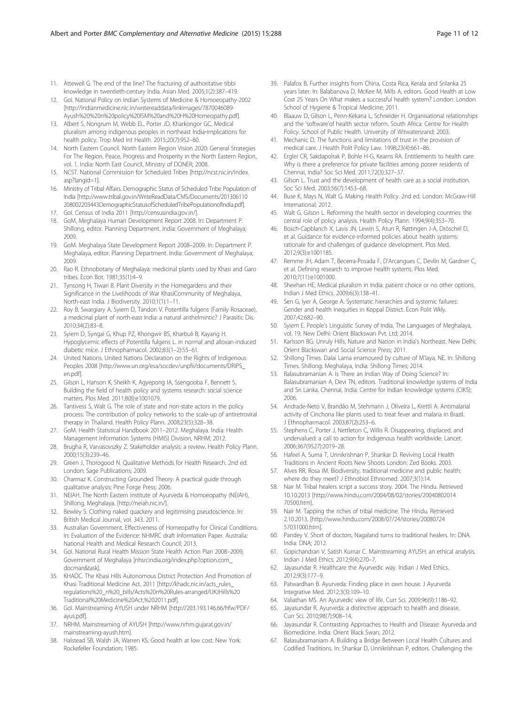- <span id="page-10-0"></span>11. Attewell G. The end of the line? The fracturing of authoritative tibbi knowledge in twentieth-century India. Asian Med. 2005;1(2):387–419.
- 12. GoI. National Policy on Indian Systems of Medicine & Homoeopathy-2002 [[http://indianmedicine.nic.in/writereaddata/linkimages/7870046089-](http://indianmedicine.nic.in/writereaddata/linkimages/7870046089-Ayush%20%20n%20policy%20ISM%20and%20H%20Homeopathy.pdf) [Ayush%20%20n%20policy%20ISM%20and%20H%20Homeopathy.pdf](http://indianmedicine.nic.in/writereaddata/linkimages/7870046089-Ayush%20%20n%20policy%20ISM%20and%20H%20Homeopathy.pdf)].
- 13. Albert S, Nongrum M, Webb EL, Porter JD, Kharkongor GC. Medical pluralism among indigenous peoples in northeast India‐implications for health policy. Trop Med Int Health. 2015;20(7):952–60.
- 14. North Eastern Council. North Eastern Region Vision 2020: General Strategies For The Region. Peace, Progress and Prosperity in the North Eastern Region, vol. 1. India: North East Council, Ministry of DONER; 2008.
- 15. NCST. National Commission for Scheduled Tribes [[http://ncst.nic.in/index.](http://ncst.nic.in/index.asp?langid=1) [asp?langid=1](http://ncst.nic.in/index.asp?langid=1)].
- 16. Ministry of Tribal Affairs. Demographic Status of Scheduled Tribe Population of India [[http://www.tribal.gov.in/WriteReadData/CMS/Documents/201306110](http://www.tribal.gov.in/WriteReadData/CMS/Documents/201306110208002203443DemographicStatusofScheduledTribePopulationofIndia.pdf) [208002203443DemographicStatusofScheduledTribePopulationofIndia.pdf](http://www.tribal.gov.in/WriteReadData/CMS/Documents/201306110208002203443DemographicStatusofScheduledTribePopulationofIndia.pdf)].
- 17. GoI. Census of India 2011 [\[http://censusindia.gov.in/](http://censusindia.gov.in/)].
- 18. GoM. Meghalaya Human Development Report 2008. In: Department P. Shillong, editor. Planning Department. India: Government of Meghalaya; 2009.
- 19. GoM. Meghalaya State Development Report 2008–2009. In: Department P. Meghalaya, editor. Planning Department. India: Government of Meghalaya; 2009.
- 20. Rao R. Ethnobotany of Meghalaya: medicinal plants used by Khasi and Garo tribes. Econ Bot. 1981;35(1):4–9.
- 21. Tynsong H, Tiwari B. Plant Diversity in the Homegardens and their Significance in the Livelihoods of War KhasiCommunity of Meghalaya, North-east India. J Biodiversity. 2010;1(1):1–11.
- 22. Roy B, Swargiary A, Syiem D, Tandon V. Potentilla fulgens (Family Rosaceae), a medicinal plant of north-east India: a natural anthelmintic? J Parasitic Dis. 2010;34(2):83–8.
- 23. Syiem D, Syngai G, Khup PZ, Khongwir BS, Kharbuli B, Kayang H. Hypoglycemic effects of Potentilla fulgens L. in normal and alloxan-induced diabetic mice. J Ethnopharmacol. 2002;83(1–2):55–61.
- 24. United Nations. United Nations Declaration on the Rights of Indigenous Peoples 2008 [[http://www.un.org/esa/socdev/unpfii/documents/DRIPS\\_](http://www.un.org/esa/socdev/unpfii/documents/DRIPS_en.pdf) [en.pdf\]](http://www.un.org/esa/socdev/unpfii/documents/DRIPS_en.pdf).
- 25. Gilson L, Hanson K, Sheikh K, Agyepong IA, Ssengooba F, Bennett S. Building the field of health policy and systems research: social science matters. Plos Med. 2011;8(8):e1001079.
- 26. Tantivess S, Walt G. The role of state and non-state actors in the policy process: The contribution of policy networks to the scale-up of antiretroviral therapy in Thailand. Health Policy Plann. 2008;23(5):328–38.
- 27. GoM. Health Statistical Handbook 2011–2012. Meghalaya. India: Health Management Information Systems (HMIS) Division, NRHM; 2012.
- 28. Brugha R, Varvasovszky Z. Stakeholder analysis: a review. Health Policy Plann. 2000;15(3):239–46.
- 29. Green J, Thorogood N. Qualitative Methods for Health Research. 2nd ed. London: Sage Publications; 2009.
- 30. Charmaz K. Constructing Grounded Theory: A practical guide through qualitative analysis: Pine Forge Press; 2006.
- 31. NEIAH. The North Eastern Institute of Ayurveda & Homoeopathy (NEIAH), Shillong, Meghalaya. [[http://neiah.nic.in/\]](http://neiah.nic.in/).
- 32. Bewley S. Clothing naked quackery and legitimising pseudoscience. In: British Medical Journal, vol. 343. 2011.
- 33. Australian Government. Effectiveness of Homeopathy for Clinical Conditions. In: Evaluation of the Evidence: NHMRC draft Information Paper. Australia: National Health and Medical Research Council; 2013.
- 34. GoI. National Rural Health Mission State Health Action Plan 2008–2009, Government of Meghalaya [\[nhsrcindia.org/index.php?option.com\\_](http://www.nhsrcindia.org/index.php?option.com_docman&task) [docman&task](http://www.nhsrcindia.org/index.php?option.com_docman&task)].
- 35. KHADC. The Khasi Hills Autonomous District Protection And Promotion of Khasi Traditional Medicine Act, 2011 [[http://khadc.nic.in/acts\\_rules\\_](http://khadc.nic.in/acts_rules_regulations%20_n%20_bills/Acts%20n%20Rules-arranged/UKJHills%20Traditional%20Medicine%20Act,%202011.pdf) [regulations%20\\_n%20\\_bills/Acts%20n%20Rules-arranged/UKJHills%20](http://khadc.nic.in/acts_rules_regulations%20_n%20_bills/Acts%20n%20Rules-arranged/UKJHills%20Traditional%20Medicine%20Act,%202011.pdf) [Traditional%20Medicine%20Act,%202011.pdf\]](http://khadc.nic.in/acts_rules_regulations%20_n%20_bills/Acts%20n%20Rules-arranged/UKJHills%20Traditional%20Medicine%20Act,%202011.pdf).
- 36. GoI. Mainstreaming AYUSH under NRHM [\[http://203.193.146.66/hfw/PDF/](http://203.193.146.66/hfw/PDF/ayus.pdf) [ayus.pdf](http://203.193.146.66/hfw/PDF/ayus.pdf)].
- 37. NRHM. Mainstreaming of AYUSH [\[http://www.nrhm.gujarat.gov.in/](http://www.nrhm.gujarat.gov.in/mainstreaming-ayush.htm) [mainstreaming-ayush.htm\]](http://www.nrhm.gujarat.gov.in/mainstreaming-ayush.htm).
- 38. Halstead SB, Walsh JA, Warren KS. Good health at low cost. New York: Rockefeller Foundation; 1985.
- 39. Palafox B. Further insights from China, Costa Rica, Kerala and Srilanka 25 years later. In: Balabanova D, McKee M, Mills A, editors. Good Health at Low Cost 25 Years On What makes a successful health system? London: London School of Hygiene & Tropical Medicine; 2011.
- 40. Blaauw D, Gilson L, Penn-Kekana L, Schneider H. Organisational relationships and the 'software'of health sector reform. South Africa: Centre for Health Policy. School of Public Health. University of Witwatersrand; 2003.
- 41. Mechanic D. The functions and limitations of trust in the provision of medical care. J Health Polit Policy Law. 1998;23(4):661–86.
- 42. Ergler CR, Sakdapolrak P, Bohle H-G, Kearns RA. Entitlements to health care: Why is there a preference for private facilities among poorer residents of Chennai, India? Soc Sci Med. 2011;72(3):327–37.
- 43. Gilson L. Trust and the development of health care as a social institution. Soc Sci Med. 2003;56(7):1453–68.
- 44. Buse K, Mays N, Walt G. Making Health Policy. 2nd ed. London: McGraw-Hill International; 2012.
- 45. Walt G, Gilson L. Reforming the health sector in developing countries: the central role of policy analysis. Health Policy Plann. 1994;9(4):353–70.
- 46. Bosch-Capblanch X, Lavis JN, Lewin S, Atun R, Røttingen J-A, Dröschel D, et al. Guidance for evidence-informed policies about health systems: rationale for and challenges of guidance development. Plos Med. 2012;9(3):e1001185.
- 47. Remme JH, Adam T, Becerra-Posada F, D'Arcangues C, Devlin M, Gardner C, et al. Defining research to improve health systems. Plos Med. 2010;7(11):e1001000.
- 48. Sheehan HE. Medical pluralism in India: patient choice or no other options. Indian J Med Ethics. 2009;6(3):138–41.
- 49. Sen G, Iyer A, George A. Systematic hierarchies and systemic failures: Gender and health inequities in Koppal District. Econ Polit Wkly. 2007;42:682–90.
- 50. Syiem E. People's Linguistic Survey of India. The Languages of Meghalaya, vol. 19. New Delhi: Orient Blackswan Pvt. Ltd; 2014.
- 51. Karlsson BG. Unruly Hills, Nature and Nation in India's Northeast. New Delhi: Orient Blackswan and Social Science Press; 2011.
- 52. Shillong Times. Dalai Lama enamoured by culture of M'laya, NE. In: Shillong Times. Shillong: Meghalaya, India: Shillong Times; 2014.
- 53. Balasubramanian A. Is There an Indian Way of Doing Science? In: Balasubramanian A, Devi TN, editors. Traditional knowledge systems of India and Sri Lanka. Chennai, India: Centre for Indian knowledge systems (CIKS); 2006.
- 54. Andrade-Neto V, Brandão M, Stehmann J, Oliveira L, Krettli A. Antimalarial activity of Cinchona like plants used to treat fever and malaria in Brazil. J Ethnopharmacol. 2003;87(2):253–6.
- 55. Stephens C, Porter J, Nettleton C, Willis R. Disappearing, displaced, and undervalued: a call to action for Indigenous health worldwide. Lancet. 2006;367(9527):2019–28.
- 56. Hafeel A, Suma T, Unnikrishnan P, Shankar D. Reviving Local Health Traditions in Ancient Roots New Shoots London: Zed Books. 2003.
- 57. Alves RR, Rosa IM. Biodiversity, traditional medicine and public health: where do they meet? J Ethnobiol Ethnomed. 2007;3(1):14.
- 58. Nair M. Tribal healers script a success story. 2004. The Hindu. Retrieved 10.10.2013 [\[http://www.hindu.com/2004/08/02/stories/20040802014](http://www.hindu.com/2004/08/02/stories/2004080201470500.htm) [70500.htm\]](http://www.hindu.com/2004/08/02/stories/2004080201470500.htm).
- 59. Nair M. Tapping the riches of tribal medicine. The Hindu. Retrieved 2.10.2013, [\[http://www.hindu.com/2008/07/24/stories/20080724](http://www.hindu.com/2008/07/24/stories/2008072457031000.htm) [57031000.htm\]](http://www.hindu.com/2008/07/24/stories/2008072457031000.htm).
- 60. Pandey V. Short of doctors, Nagaland turns to traditional healers. In: DNA. India: DNA; 2012.
- 61. Gopichandran V, Satish Kumar C. Mainstreaming AYUSH: an ethical analysis. Indian J Med Ethics. 2012;9(4):270–7.
- 62. Jayasundar R. Healthcare the Ayurvedic way. Indian J Med Ethics. 2012;9(3):177–9.
- 63. Patwardhan B. Ayurveda: Finding place in own house. J Ayurveda Integrative Med. 2012;3(3):109–10.
- 64. Valiathan MS. An Ayurvedic view of life. Curr Sci. 2009;96(9):1186–92.
- 65. Jayasundar R. Ayurveda: a distinctive approach to health and disease. Curr Sci. 2010;98(7):908–14.
- Jayasundar R. Contrasting Approaches to Health and Disease: Ayurveda and Biomedicine. India: Orient Black Swan; 2012.
- 67. Balasubramaniam A. Building a Bridge Between Local Health Cultures and Codified Traditions. In: Shankar D, Unnikrishnan P, editors. Challenging the